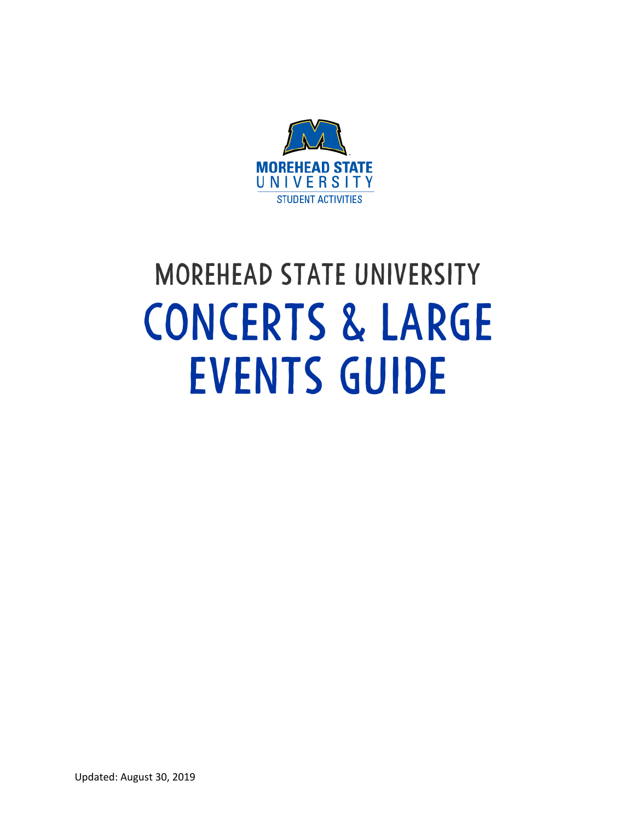

## Morehead State University CONCERTS & LARGE EVENTS GUIDE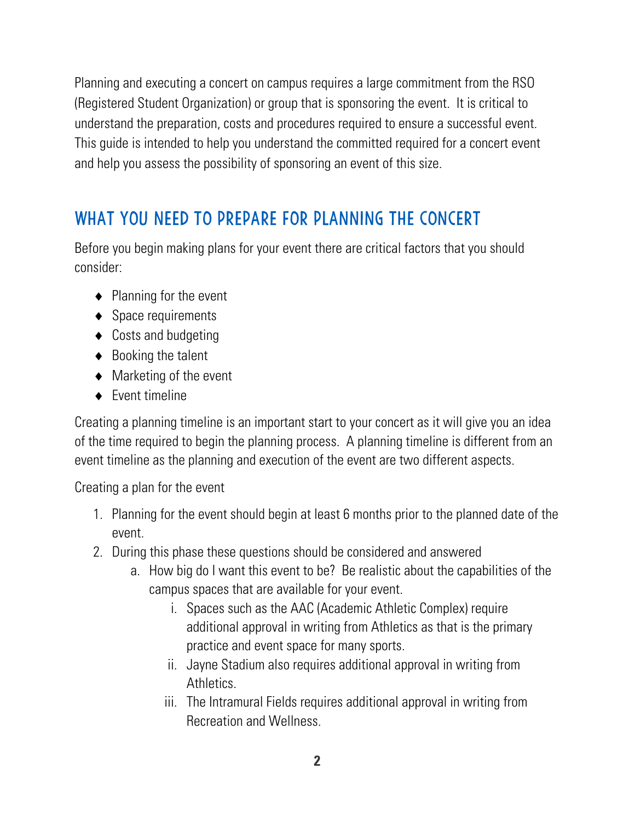Planning and executing a concert on campus requires a large commitment from the RSO (Registered Student Organization) or group that is sponsoring the event. It is critical to understand the preparation, costs and procedures required to ensure a successful event. This guide is intended to help you understand the committed required for a concert event and help you assess the possibility of sponsoring an event of this size.

## WHAT YOU NEED TO PREPARE FOR PLANNING THE CONCERT

Before you begin making plans for your event there are critical factors that you should consider:

- $\triangle$  Planning for the event
- $\triangleleft$  Space requirements
- $\triangle$  Costs and budgeting
- $\triangle$  Booking the talent
- $\triangleleft$  Marketing of the event
- $\leftarrow$  Fvent timeline

Creating a planning timeline is an important start to your concert as it will give you an idea of the time required to begin the planning process. A planning timeline is different from an event timeline as the planning and execution of the event are two different aspects.

Creating a plan for the event

- 1. Planning for the event should begin at least 6 months prior to the planned date of the event.
- 2. During this phase these questions should be considered and answered
	- a. How big do I want this event to be? Be realistic about the capabilities of the campus spaces that are available for your event.
		- i. Spaces such as the AAC (Academic Athletic Complex) require additional approval in writing from Athletics as that is the primary practice and event space for many sports.
		- ii. Jayne Stadium also requires additional approval in writing from Athletics.
		- iii. The Intramural Fields requires additional approval in writing from Recreation and Wellness.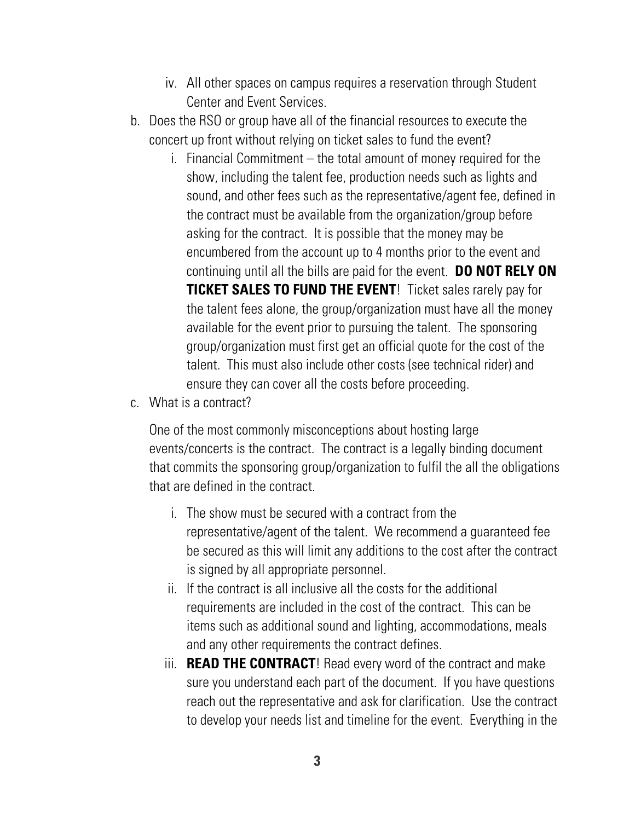- iv. All other spaces on campus requires a reservation through Student Center and Event Services.
- b. Does the RSO or group have all of the financial resources to execute the concert up front without relying on ticket sales to fund the event?
	- i. Financial Commitment the total amount of money required for the show, including the talent fee, production needs such as lights and sound, and other fees such as the representative/agent fee, defined in the contract must be available from the organization/group before asking for the contract. It is possible that the money may be encumbered from the account up to 4 months prior to the event and continuing until all the bills are paid for the event. **DO NOT RELY ON TICKET SALES TO FUND THE EVENT!** Ticket sales rarely pay for the talent fees alone, the group/organization must have all the money available for the event prior to pursuing the talent. The sponsoring group/organization must first get an official quote for the cost of the talent. This must also include other costs (see technical rider) and ensure they can cover all the costs before proceeding.
- c. What is a contract?

One of the most commonly misconceptions about hosting large events/concerts is the contract. The contract is a legally binding document that commits the sponsoring group/organization to fulfil the all the obligations that are defined in the contract.

- i. The show must be secured with a contract from the representative/agent of the talent. We recommend a guaranteed fee be secured as this will limit any additions to the cost after the contract is signed by all appropriate personnel.
- ii. If the contract is all inclusive all the costs for the additional requirements are included in the cost of the contract. This can be items such as additional sound and lighting, accommodations, meals and any other requirements the contract defines.
- iii. **READ THE CONTRACT**! Read every word of the contract and make sure you understand each part of the document. If you have questions reach out the representative and ask for clarification. Use the contract to develop your needs list and timeline for the event. Everything in the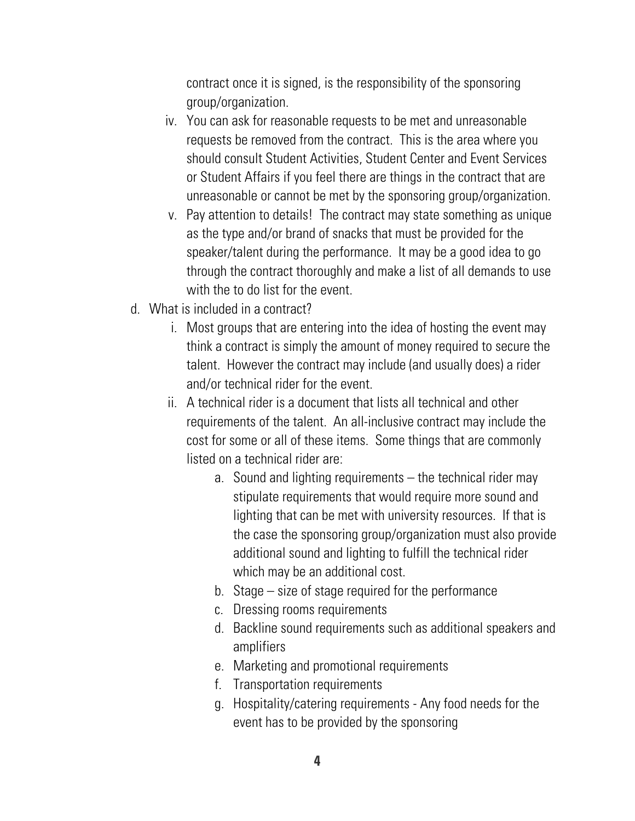contract once it is signed, is the responsibility of the sponsoring group/organization.

- iv. You can ask for reasonable requests to be met and unreasonable requests be removed from the contract. This is the area where you should consult Student Activities, Student Center and Event Services or Student Affairs if you feel there are things in the contract that are unreasonable or cannot be met by the sponsoring group/organization.
- v. Pay attention to details! The contract may state something as unique as the type and/or brand of snacks that must be provided for the speaker/talent during the performance. It may be a good idea to go through the contract thoroughly and make a list of all demands to use with the to do list for the event.
- d. What is included in a contract?
	- i. Most groups that are entering into the idea of hosting the event may think a contract is simply the amount of money required to secure the talent. However the contract may include (and usually does) a rider and/or technical rider for the event.
	- ii. A technical rider is a document that lists all technical and other requirements of the talent. An all-inclusive contract may include the cost for some or all of these items. Some things that are commonly listed on a technical rider are:
		- a. Sound and lighting requirements the technical rider may stipulate requirements that would require more sound and lighting that can be met with university resources. If that is the case the sponsoring group/organization must also provide additional sound and lighting to fulfill the technical rider which may be an additional cost.
		- b. Stage size of stage required for the performance
		- c. Dressing rooms requirements
		- d. Backline sound requirements such as additional speakers and amplifiers
		- e. Marketing and promotional requirements
		- f. Transportation requirements
		- g. Hospitality/catering requirements Any food needs for the event has to be provided by the sponsoring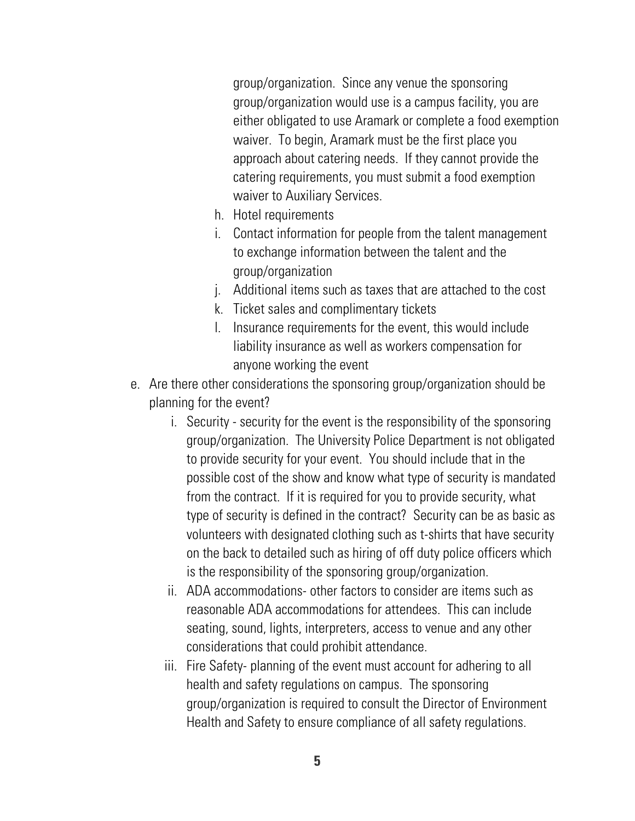group/organization. Since any venue the sponsoring group/organization would use is a campus facility, you are either obligated to use Aramark or complete a food exemption waiver. To begin, Aramark must be the first place you approach about catering needs. If they cannot provide the catering requirements, you must submit a food exemption waiver to Auxiliary Services.

- h. Hotel requirements
- i. Contact information for people from the talent management to exchange information between the talent and the group/organization
- j. Additional items such as taxes that are attached to the cost
- k. Ticket sales and complimentary tickets
- l. Insurance requirements for the event, this would include liability insurance as well as workers compensation for anyone working the event
- e. Are there other considerations the sponsoring group/organization should be planning for the event?
	- i. Security security for the event is the responsibility of the sponsoring group/organization. The University Police Department is not obligated to provide security for your event. You should include that in the possible cost of the show and know what type of security is mandated from the contract. If it is required for you to provide security, what type of security is defined in the contract? Security can be as basic as volunteers with designated clothing such as t-shirts that have security on the back to detailed such as hiring of off duty police officers which is the responsibility of the sponsoring group/organization.
	- ii. ADA accommodations- other factors to consider are items such as reasonable ADA accommodations for attendees. This can include seating, sound, lights, interpreters, access to venue and any other considerations that could prohibit attendance.
	- iii. Fire Safety- planning of the event must account for adhering to all health and safety regulations on campus. The sponsoring group/organization is required to consult the Director of Environment Health and Safety to ensure compliance of all safety regulations.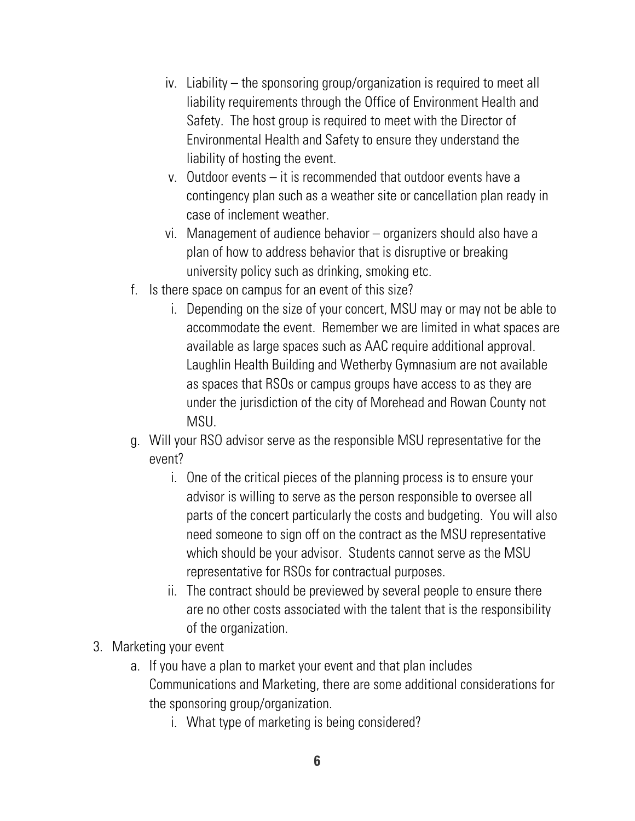- iv. Liability the sponsoring group/organization is required to meet all liability requirements through the Office of Environment Health and Safety. The host group is required to meet with the Director of Environmental Health and Safety to ensure they understand the liability of hosting the event.
- v. Outdoor events it is recommended that outdoor events have a contingency plan such as a weather site or cancellation plan ready in case of inclement weather.
- vi. Management of audience behavior organizers should also have a plan of how to address behavior that is disruptive or breaking university policy such as drinking, smoking etc.
- f. Is there space on campus for an event of this size?
	- i. Depending on the size of your concert, MSU may or may not be able to accommodate the event. Remember we are limited in what spaces are available as large spaces such as AAC require additional approval. Laughlin Health Building and Wetherby Gymnasium are not available as spaces that RSOs or campus groups have access to as they are under the jurisdiction of the city of Morehead and Rowan County not MSU.
- g. Will your RSO advisor serve as the responsible MSU representative for the event?
	- i. One of the critical pieces of the planning process is to ensure your advisor is willing to serve as the person responsible to oversee all parts of the concert particularly the costs and budgeting. You will also need someone to sign off on the contract as the MSU representative which should be your advisor. Students cannot serve as the MSU representative for RSOs for contractual purposes.
	- ii. The contract should be previewed by several people to ensure there are no other costs associated with the talent that is the responsibility of the organization.
- 3. Marketing your event
	- a. If you have a plan to market your event and that plan includes Communications and Marketing, there are some additional considerations for the sponsoring group/organization.
		- i. What type of marketing is being considered?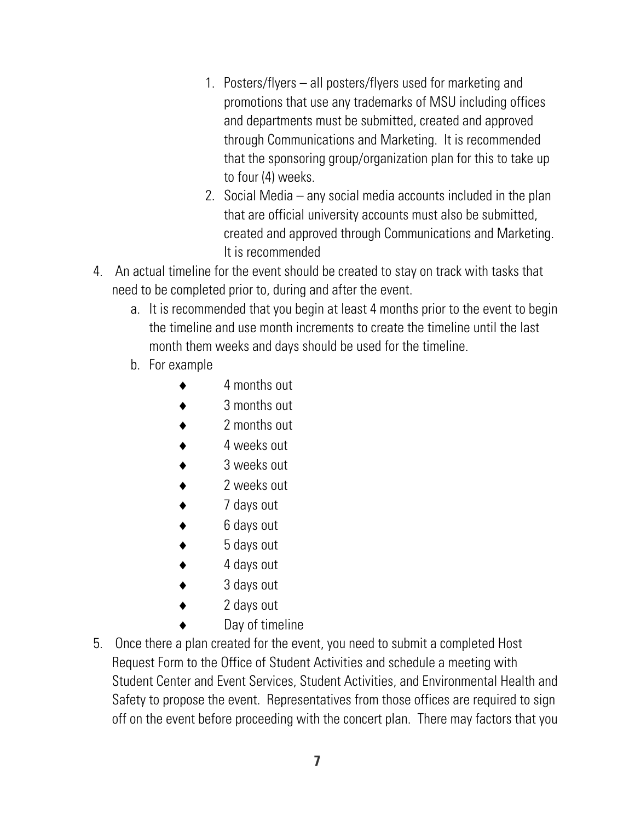- 1. Posters/flyers all posters/flyers used for marketing and promotions that use any trademarks of MSU including offices and departments must be submitted, created and approved through Communications and Marketing. It is recommended that the sponsoring group/organization plan for this to take up to four (4) weeks.
- 2. Social Media any social media accounts included in the plan that are official university accounts must also be submitted, created and approved through Communications and Marketing. It is recommended
- 4. An actual timeline for the event should be created to stay on track with tasks that need to be completed prior to, during and after the event.
	- a. It is recommended that you begin at least 4 months prior to the event to begin the timeline and use month increments to create the timeline until the last month them weeks and days should be used for the timeline.
	- b. For example
		- 4 months out
		- 3 months out
		- 2 months out
		- 4 weeks out
		- 3 weeks out
		- 2 weeks out
		- 7 days out
		- 6 days out
		- 5 days out
		- 4 days out
		- 3 days out
		- 2 days out
		- Day of timeline
- 5. Once there a plan created for the event, you need to submit a completed Host Request Form to the Office of Student Activities and schedule a meeting with Student Center and Event Services, Student Activities, and Environmental Health and Safety to propose the event. Representatives from those offices are required to sign off on the event before proceeding with the concert plan. There may factors that you